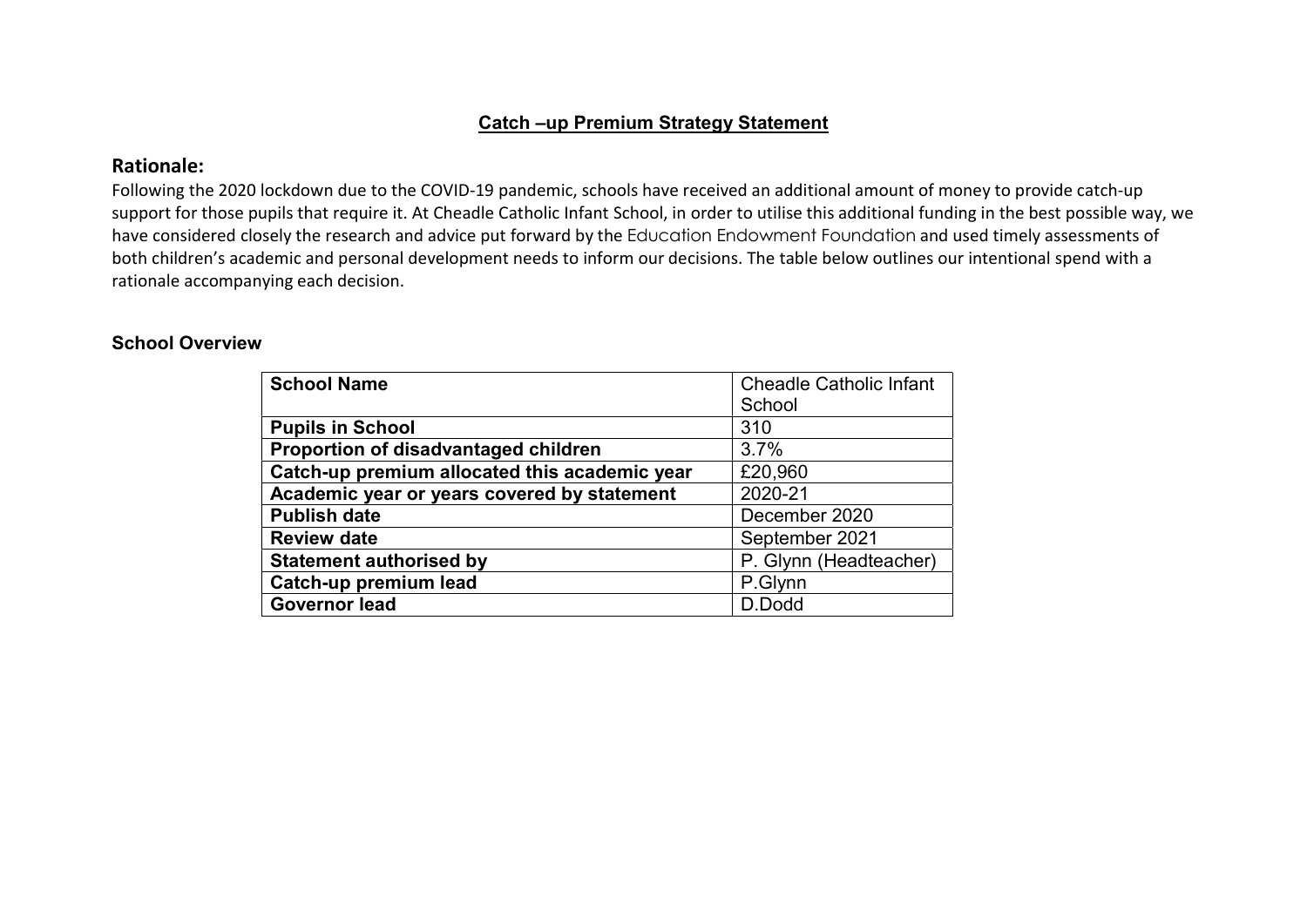## Catch –up Premium Strategy Statement

## Rationale:

Following the 2020 lockdown due to the COVID-19 pandemic, schools have received an additional amount of money to provide catch-up support for those pupils that require it. At Cheadle Catholic Infant School, in order to utilise this additional funding in the best possible way, we have considered closely the research and advice put forward by the Education Endowment Foundation and used timely assessments of both children's academic and personal development needs to inform our decisions. The table below outlines our intentional spend with a rationale accompanying each decision.

## School Overview

| <b>School Name</b>                            | <b>Cheadle Catholic Infant</b> |  |
|-----------------------------------------------|--------------------------------|--|
|                                               | School                         |  |
| <b>Pupils in School</b>                       | 310                            |  |
| Proportion of disadvantaged children          | 3.7%                           |  |
| Catch-up premium allocated this academic year | £20,960                        |  |
| Academic year or years covered by statement   | 2020-21                        |  |
| <b>Publish date</b>                           | December 2020                  |  |
| <b>Review date</b>                            | September 2021                 |  |
| <b>Statement authorised by</b>                | P. Glynn (Headteacher)         |  |
| Catch-up premium lead                         | P.Glynn                        |  |
| <b>Governor lead</b>                          | D.Dodd                         |  |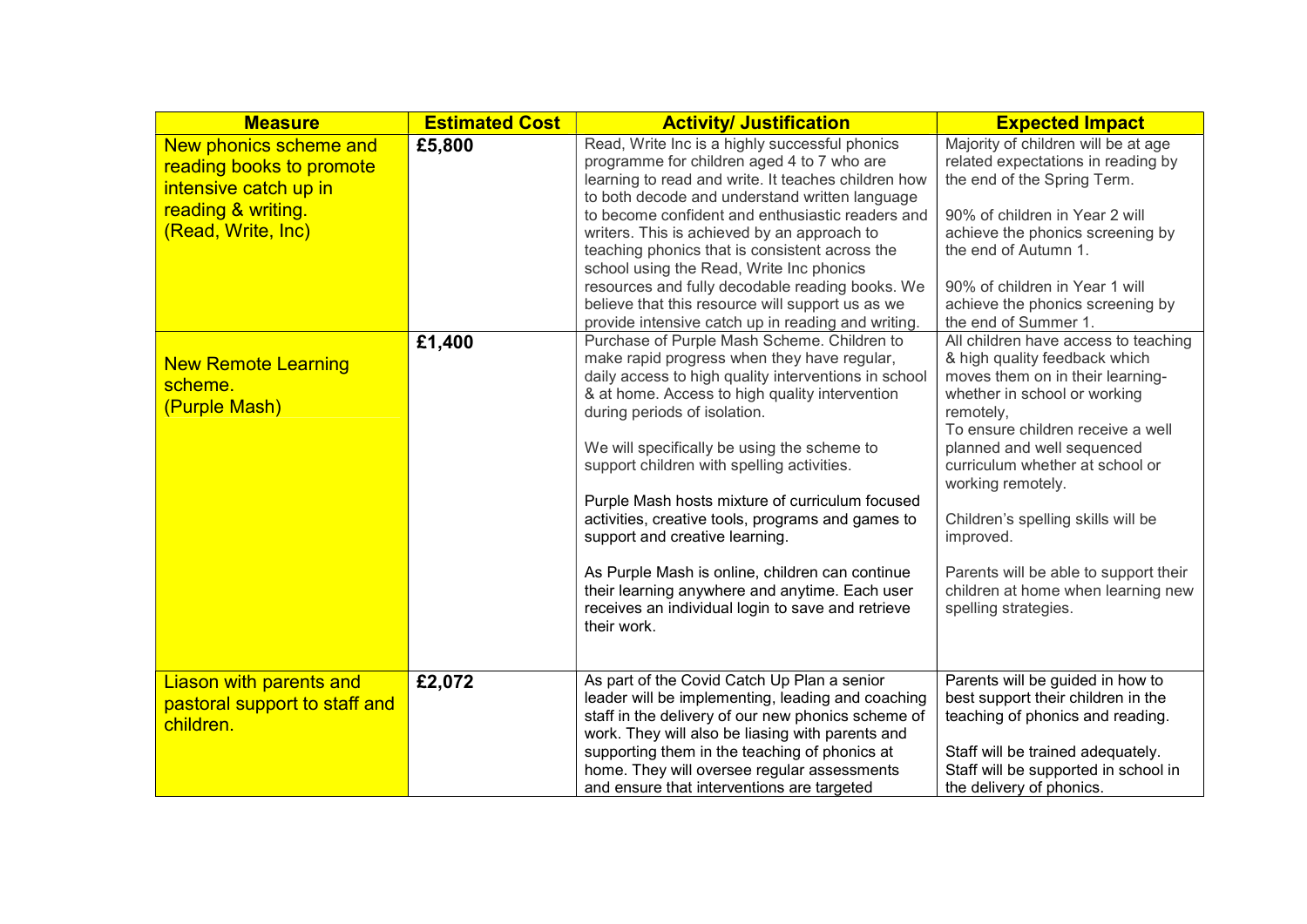| <b>Measure</b>                                                                                                          | <b>Estimated Cost</b> | <b>Activity/ Justification</b>                                                                                                                                                                                                                                                                                                                                                                                                                                                                                                                                                                                                                                                                             | <b>Expected Impact</b>                                                                                                                                                                                                                                                                                                                                                                                                                                              |
|-------------------------------------------------------------------------------------------------------------------------|-----------------------|------------------------------------------------------------------------------------------------------------------------------------------------------------------------------------------------------------------------------------------------------------------------------------------------------------------------------------------------------------------------------------------------------------------------------------------------------------------------------------------------------------------------------------------------------------------------------------------------------------------------------------------------------------------------------------------------------------|---------------------------------------------------------------------------------------------------------------------------------------------------------------------------------------------------------------------------------------------------------------------------------------------------------------------------------------------------------------------------------------------------------------------------------------------------------------------|
| New phonics scheme and<br>reading books to promote<br>intensive catch up in<br>reading & writing.<br>(Read, Write, Inc) | £5,800                | Read, Write Inc is a highly successful phonics<br>programme for children aged 4 to 7 who are<br>learning to read and write. It teaches children how<br>to both decode and understand written language<br>to become confident and enthusiastic readers and<br>writers. This is achieved by an approach to<br>teaching phonics that is consistent across the<br>school using the Read, Write Inc phonics<br>resources and fully decodable reading books. We<br>believe that this resource will support us as we                                                                                                                                                                                              | Majority of children will be at age<br>related expectations in reading by<br>the end of the Spring Term.<br>90% of children in Year 2 will<br>achieve the phonics screening by<br>the end of Autumn 1.<br>90% of children in Year 1 will<br>achieve the phonics screening by                                                                                                                                                                                        |
| <b>New Remote Learning</b><br>scheme.<br>(Purple Mash)                                                                  | £1,400                | provide intensive catch up in reading and writing.<br>Purchase of Purple Mash Scheme. Children to<br>make rapid progress when they have regular,<br>daily access to high quality interventions in school<br>& at home. Access to high quality intervention<br>during periods of isolation.<br>We will specifically be using the scheme to<br>support children with spelling activities.<br>Purple Mash hosts mixture of curriculum focused<br>activities, creative tools, programs and games to<br>support and creative learning.<br>As Purple Mash is online, children can continue<br>their learning anywhere and anytime. Each user<br>receives an individual login to save and retrieve<br>their work. | the end of Summer 1.<br>All children have access to teaching<br>& high quality feedback which<br>moves them on in their learning-<br>whether in school or working<br>remotely,<br>To ensure children receive a well<br>planned and well sequenced<br>curriculum whether at school or<br>working remotely.<br>Children's spelling skills will be<br>improved.<br>Parents will be able to support their<br>children at home when learning new<br>spelling strategies. |
| <b>Liason with parents and</b><br>pastoral support to staff and<br>children.                                            | £2,072                | As part of the Covid Catch Up Plan a senior<br>leader will be implementing, leading and coaching<br>staff in the delivery of our new phonics scheme of<br>work. They will also be liasing with parents and<br>supporting them in the teaching of phonics at<br>home. They will oversee regular assessments<br>and ensure that interventions are targeted                                                                                                                                                                                                                                                                                                                                                   | Parents will be guided in how to<br>best support their children in the<br>teaching of phonics and reading.<br>Staff will be trained adequately.<br>Staff will be supported in school in<br>the delivery of phonics.                                                                                                                                                                                                                                                 |